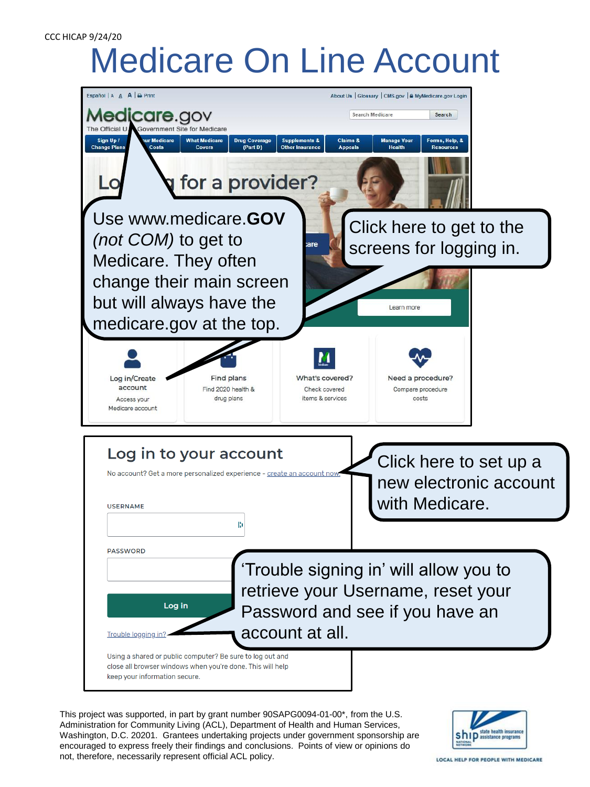## CCC HICAP 9/24/20

## Medicare On Line Account



This project was supported, in part by grant number 90SAPG0094-01-00\*, from the U.S. Administration for Community Living (ACL), Department of Health and Human Services, Washington, D.C. 20201. Grantees undertaking projects under government sponsorship are encouraged to express freely their findings and conclusions. Points of view or opinions do not, therefore, necessarily represent official ACL policy.



LOCAL HELP FOR PEOPLE WITH MEDICARE